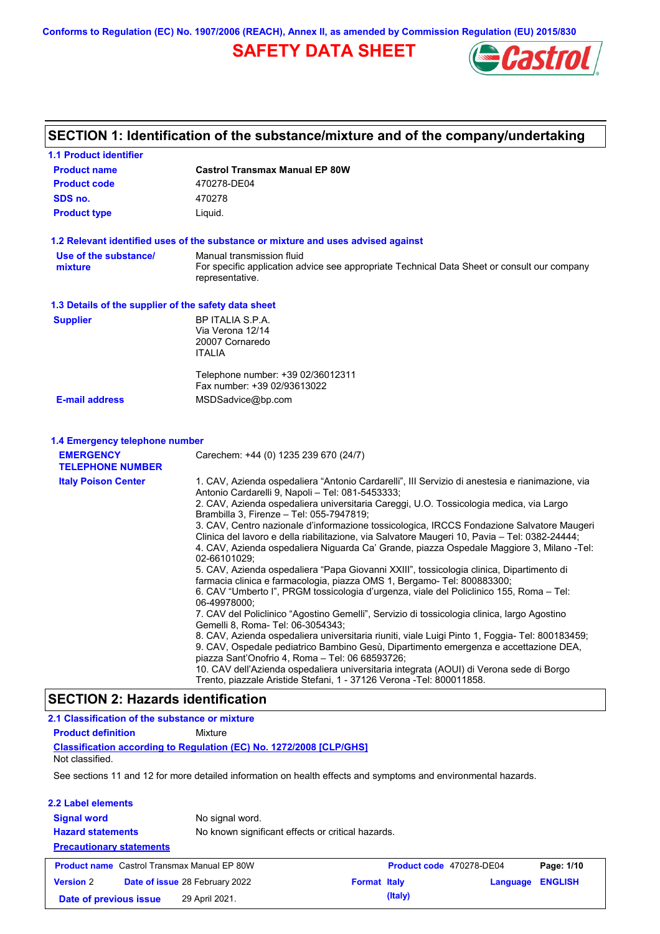**Conforms to Regulation (EC) No. 1907/2006 (REACH), Annex II, as amended by Commission Regulation (EU) 2015/830**

# **SAFETY DATA SHEET**



# **SECTION 1: Identification of the substance/mixture and of the company/undertaking**

| <b>1.1 Product identifier</b>                        |                                                                                                                                                                                                                                                                                                                                                                                                                                                                                                                                                                                                                                                                                                                                                                                                                                                                                                                                                                                                                                                                                                                                                                                                                                                                                                                                                                                                                                             |
|------------------------------------------------------|---------------------------------------------------------------------------------------------------------------------------------------------------------------------------------------------------------------------------------------------------------------------------------------------------------------------------------------------------------------------------------------------------------------------------------------------------------------------------------------------------------------------------------------------------------------------------------------------------------------------------------------------------------------------------------------------------------------------------------------------------------------------------------------------------------------------------------------------------------------------------------------------------------------------------------------------------------------------------------------------------------------------------------------------------------------------------------------------------------------------------------------------------------------------------------------------------------------------------------------------------------------------------------------------------------------------------------------------------------------------------------------------------------------------------------------------|
| <b>Product name</b>                                  | <b>Castrol Transmax Manual EP 80W</b>                                                                                                                                                                                                                                                                                                                                                                                                                                                                                                                                                                                                                                                                                                                                                                                                                                                                                                                                                                                                                                                                                                                                                                                                                                                                                                                                                                                                       |
| <b>Product code</b>                                  | 470278-DE04                                                                                                                                                                                                                                                                                                                                                                                                                                                                                                                                                                                                                                                                                                                                                                                                                                                                                                                                                                                                                                                                                                                                                                                                                                                                                                                                                                                                                                 |
| SDS no.                                              | 470278                                                                                                                                                                                                                                                                                                                                                                                                                                                                                                                                                                                                                                                                                                                                                                                                                                                                                                                                                                                                                                                                                                                                                                                                                                                                                                                                                                                                                                      |
| <b>Product type</b>                                  | Liquid.                                                                                                                                                                                                                                                                                                                                                                                                                                                                                                                                                                                                                                                                                                                                                                                                                                                                                                                                                                                                                                                                                                                                                                                                                                                                                                                                                                                                                                     |
|                                                      | 1.2 Relevant identified uses of the substance or mixture and uses advised against                                                                                                                                                                                                                                                                                                                                                                                                                                                                                                                                                                                                                                                                                                                                                                                                                                                                                                                                                                                                                                                                                                                                                                                                                                                                                                                                                           |
| Use of the substance/<br>mixture                     | Manual transmission fluid<br>For specific application advice see appropriate Technical Data Sheet or consult our company<br>representative.                                                                                                                                                                                                                                                                                                                                                                                                                                                                                                                                                                                                                                                                                                                                                                                                                                                                                                                                                                                                                                                                                                                                                                                                                                                                                                 |
| 1.3 Details of the supplier of the safety data sheet |                                                                                                                                                                                                                                                                                                                                                                                                                                                                                                                                                                                                                                                                                                                                                                                                                                                                                                                                                                                                                                                                                                                                                                                                                                                                                                                                                                                                                                             |
| <b>Supplier</b>                                      | BP ITALIA S.P.A.<br>Via Verona 12/14<br>20007 Cornaredo<br><b>ITALIA</b><br>Telephone number: +39 02/36012311                                                                                                                                                                                                                                                                                                                                                                                                                                                                                                                                                                                                                                                                                                                                                                                                                                                                                                                                                                                                                                                                                                                                                                                                                                                                                                                               |
|                                                      | Fax number: +39 02/93613022                                                                                                                                                                                                                                                                                                                                                                                                                                                                                                                                                                                                                                                                                                                                                                                                                                                                                                                                                                                                                                                                                                                                                                                                                                                                                                                                                                                                                 |
| <b>E-mail address</b>                                | MSDSadvice@bp.com                                                                                                                                                                                                                                                                                                                                                                                                                                                                                                                                                                                                                                                                                                                                                                                                                                                                                                                                                                                                                                                                                                                                                                                                                                                                                                                                                                                                                           |
| 1.4 Emergency telephone number<br><b>EMERGENCY</b>   | Carechem: +44 (0) 1235 239 670 (24/7)                                                                                                                                                                                                                                                                                                                                                                                                                                                                                                                                                                                                                                                                                                                                                                                                                                                                                                                                                                                                                                                                                                                                                                                                                                                                                                                                                                                                       |
| <b>TELEPHONE NUMBER</b>                              |                                                                                                                                                                                                                                                                                                                                                                                                                                                                                                                                                                                                                                                                                                                                                                                                                                                                                                                                                                                                                                                                                                                                                                                                                                                                                                                                                                                                                                             |
| <b>Italy Poison Center</b>                           | 1. CAV, Azienda ospedaliera "Antonio Cardarelli", III Servizio di anestesia e rianimazione, via<br>Antonio Cardarelli 9, Napoli - Tel: 081-5453333;<br>2. CAV, Azienda ospedaliera universitaria Careggi, U.O. Tossicologia medica, via Largo<br>Brambilla 3, Firenze - Tel: 055-7947819;<br>3. CAV, Centro nazionale d'informazione tossicologica, IRCCS Fondazione Salvatore Maugeri<br>Clinica del lavoro e della riabilitazione, via Salvatore Maugeri 10, Pavia - Tel: 0382-24444;<br>4. CAV, Azienda ospedaliera Niguarda Ca' Grande, piazza Ospedale Maggiore 3, Milano -Tel:<br>02-66101029;<br>5. CAV, Azienda ospedaliera "Papa Giovanni XXIII", tossicologia clinica, Dipartimento di<br>farmacia clinica e farmacologia, piazza OMS 1, Bergamo- Tel: 800883300;<br>6. CAV "Umberto I", PRGM tossicologia d'urgenza, viale del Policlinico 155, Roma - Tel:<br>06-49978000;<br>7. CAV del Policlinico "Agostino Gemelli", Servizio di tossicologia clinica, largo Agostino<br>Gemelli 8, Roma- Tel: 06-3054343;<br>8. CAV, Azienda ospedaliera universitaria riuniti, viale Luigi Pinto 1, Foggia- Tel: 800183459;<br>9. CAV, Ospedale pediatrico Bambino Gesù, Dipartimento emergenza e accettazione DEA,<br>piazza Sant'Onofrio 4, Roma - Tel: 06 68593726;<br>10. CAV dell'Azienda ospedaliera universitaria integrata (AOUI) di Verona sede di Borgo<br>Trento, piazzale Aristide Stefani, 1 - 37126 Verona -Tel: 800011858. |
| <b>SECTION 2: Hazards identification</b>             |                                                                                                                                                                                                                                                                                                                                                                                                                                                                                                                                                                                                                                                                                                                                                                                                                                                                                                                                                                                                                                                                                                                                                                                                                                                                                                                                                                                                                                             |

| 2.1 Classification of the substance or mixture     |                                                                                                                |                     |                          |          |                |
|----------------------------------------------------|----------------------------------------------------------------------------------------------------------------|---------------------|--------------------------|----------|----------------|
| <b>Product definition</b>                          | Mixture                                                                                                        |                     |                          |          |                |
| Not classified.                                    | Classification according to Regulation (EC) No. 1272/2008 [CLP/GHS]                                            |                     |                          |          |                |
|                                                    | See sections 11 and 12 for more detailed information on health effects and symptoms and environmental hazards. |                     |                          |          |                |
| 2.2 Label elements                                 |                                                                                                                |                     |                          |          |                |
| <b>Signal word</b>                                 | No signal word.                                                                                                |                     |                          |          |                |
| <b>Hazard statements</b>                           | No known significant effects or critical hazards.                                                              |                     |                          |          |                |
| <b>Precautionary statements</b>                    |                                                                                                                |                     |                          |          |                |
| <b>Product name</b> Castrol Transmax Manual EP 80W |                                                                                                                |                     | Product code 470278-DE04 |          | Page: 1/10     |
| <b>Version 2</b>                                   | <b>Date of issue 28 February 2022</b>                                                                          | <b>Format Italy</b> |                          | Language | <b>ENGLISH</b> |
| Date of previous issue                             | 29 April 2021.                                                                                                 |                     | (Italy)                  |          |                |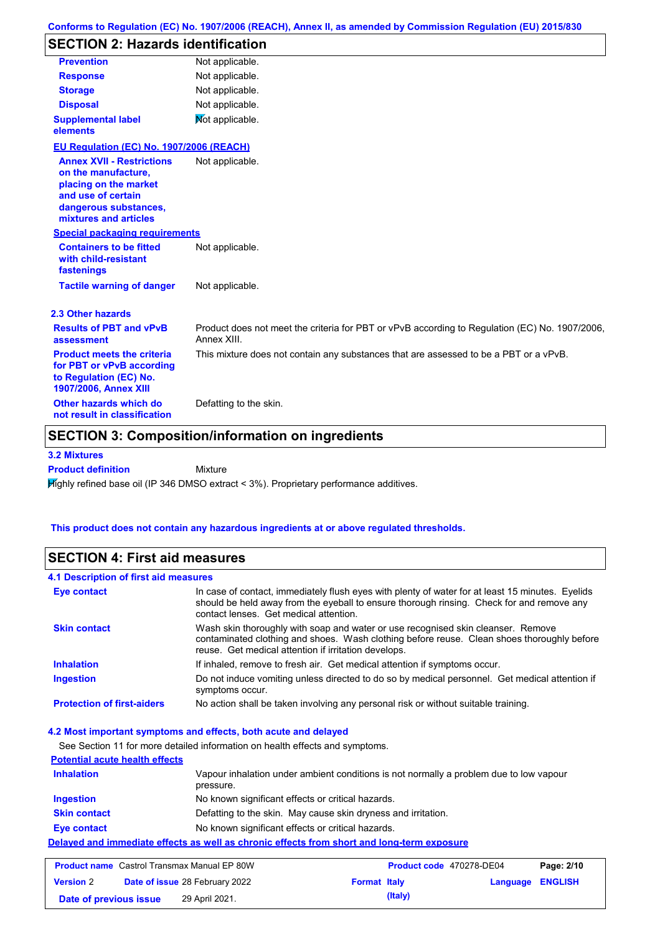# **SECTION 2: Hazards identification**

| <b>Prevention</b>                                                                                                                                        | Not applicable.                                                                                               |
|----------------------------------------------------------------------------------------------------------------------------------------------------------|---------------------------------------------------------------------------------------------------------------|
| <b>Response</b>                                                                                                                                          | Not applicable.                                                                                               |
| <b>Storage</b>                                                                                                                                           | Not applicable.                                                                                               |
| <b>Disposal</b>                                                                                                                                          | Not applicable.                                                                                               |
| <b>Supplemental label</b><br>elements                                                                                                                    | Not applicable.                                                                                               |
| EU Regulation (EC) No. 1907/2006 (REACH)                                                                                                                 |                                                                                                               |
| <b>Annex XVII - Restrictions</b><br>on the manufacture,<br>placing on the market<br>and use of certain<br>dangerous substances,<br>mixtures and articles | Not applicable.                                                                                               |
| <b>Special packaging requirements</b>                                                                                                                    |                                                                                                               |
| <b>Containers to be fitted</b><br>with child-resistant<br>fastenings                                                                                     | Not applicable.                                                                                               |
| <b>Tactile warning of danger</b>                                                                                                                         | Not applicable.                                                                                               |
| 2.3 Other hazards                                                                                                                                        |                                                                                                               |
| <b>Results of PBT and vPvB</b><br>assessment                                                                                                             | Product does not meet the criteria for PBT or vPvB according to Regulation (EC) No. 1907/2006,<br>Annex XIII. |
| <b>Product meets the criteria</b><br>for PBT or vPvB according<br>to Regulation (EC) No.<br>1907/2006, Annex XIII                                        | This mixture does not contain any substances that are assessed to be a PBT or a vPvB.                         |
| Other hazards which do<br>not result in classification                                                                                                   | Defatting to the skin.                                                                                        |

### **SECTION 3: Composition/information on ingredients**

**Mixture** 

### **3.2 Mixtures**

**Product definition**

Highly refined base oil (IP 346 DMSO extract < 3%). Proprietary performance additives.

### **This product does not contain any hazardous ingredients at or above regulated thresholds.**

### **SECTION 4: First aid measures**

| 4.1 Description of first aid measures |                                                                                                                                                                                                                                         |
|---------------------------------------|-----------------------------------------------------------------------------------------------------------------------------------------------------------------------------------------------------------------------------------------|
| Eye contact                           | In case of contact, immediately flush eyes with plenty of water for at least 15 minutes. Eyelids<br>should be held away from the eyeball to ensure thorough rinsing. Check for and remove any<br>contact lenses. Get medical attention. |
| <b>Skin contact</b>                   | Wash skin thoroughly with soap and water or use recognised skin cleanser. Remove<br>contaminated clothing and shoes. Wash clothing before reuse. Clean shoes thoroughly before<br>reuse. Get medical attention if irritation develops.  |
| <b>Inhalation</b>                     | If inhaled, remove to fresh air. Get medical attention if symptoms occur.                                                                                                                                                               |
| <b>Ingestion</b>                      | Do not induce vomiting unless directed to do so by medical personnel. Get medical attention if<br>symptoms occur.                                                                                                                       |
| <b>Protection of first-aiders</b>     | No action shall be taken involving any personal risk or without suitable training.                                                                                                                                                      |

See Section 11 for more detailed information on health effects and symptoms.

### **Potential acute health effects Inhalation** Vapour inhalation under ambient conditions is not normally a problem due to low vapour pressure. **Ingestion** No known significant effects or critical hazards. **Skin contact** Defatting to the skin. May cause skin dryness and irritation. **Eye contact** No known significant effects or critical hazards. **Delayed and immediate effects as well as chronic effects from short and long-term exposure**

| <b>Product name</b> Castrol Transmax Manual EP 80W |  | <b>Product code</b> 470278-DE04       |                     | Page: 2/10 |                  |  |
|----------------------------------------------------|--|---------------------------------------|---------------------|------------|------------------|--|
| <b>Version 2</b>                                   |  | <b>Date of issue 28 February 2022</b> | <b>Format Italy</b> |            | Language ENGLISH |  |
| Date of previous issue                             |  | 29 April 2021.                        |                     | (Italy)    |                  |  |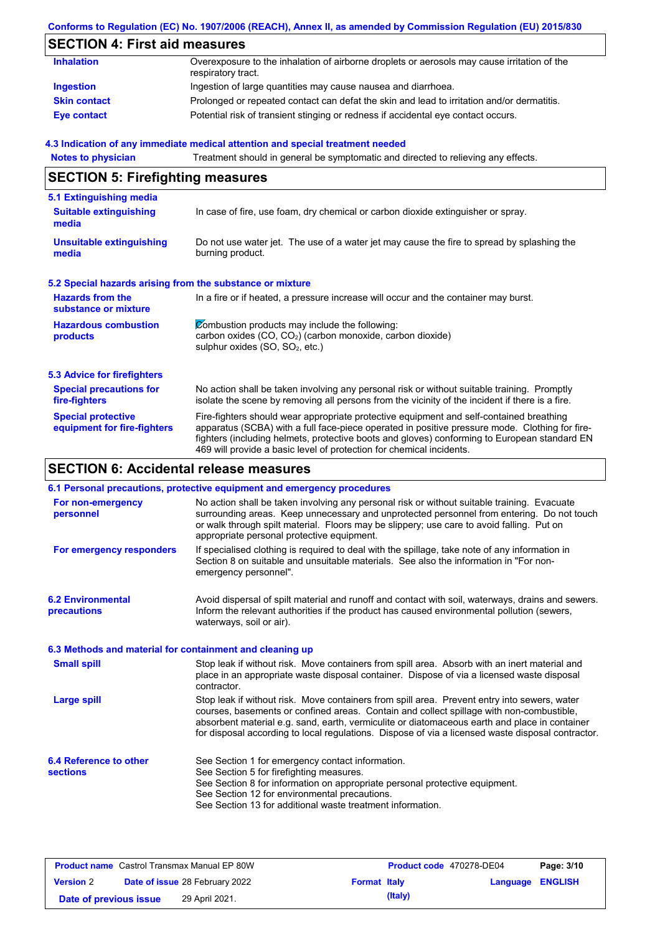### **Conforms to Regulation (EC) No. 1907/2006 (REACH), Annex II, as amended by Commission Regulation (EU) 2015/830**

# **SECTION 4: First aid measures**

| <b>Inhalation</b>   | Overexposure to the inhalation of airborne droplets or aerosols may cause irritation of the<br>respiratory tract. |
|---------------------|-------------------------------------------------------------------------------------------------------------------|
| Ingestion           | Ingestion of large quantities may cause nausea and diarrhoea.                                                     |
| <b>Skin contact</b> | Prolonged or repeated contact can defat the skin and lead to irritation and/or dermatitis.                        |
| <b>Eye contact</b>  | Potential risk of transient stinging or redness if accidental eye contact occurs.                                 |

#### **4.3 Indication of any immediate medical attention and special treatment needed**

| <b>Notes to physician</b>                                                                                                              | Treatment should in general be symptomatic and directed to relieving any effects.                                                                                                                                                                                                                                                                                 |  |  |
|----------------------------------------------------------------------------------------------------------------------------------------|-------------------------------------------------------------------------------------------------------------------------------------------------------------------------------------------------------------------------------------------------------------------------------------------------------------------------------------------------------------------|--|--|
| <b>SECTION 5: Firefighting measures</b>                                                                                                |                                                                                                                                                                                                                                                                                                                                                                   |  |  |
| 5.1 Extinguishing media                                                                                                                |                                                                                                                                                                                                                                                                                                                                                                   |  |  |
| <b>Suitable extinguishing</b><br>media                                                                                                 | In case of fire, use foam, dry chemical or carbon dioxide extinguisher or spray.                                                                                                                                                                                                                                                                                  |  |  |
| <b>Unsuitable extinguishing</b><br>media                                                                                               | Do not use water jet. The use of a water jet may cause the fire to spread by splashing the<br>burning product.                                                                                                                                                                                                                                                    |  |  |
| 5.2 Special hazards arising from the substance or mixture                                                                              |                                                                                                                                                                                                                                                                                                                                                                   |  |  |
| <b>Hazards from the</b><br>In a fire or if heated, a pressure increase will occur and the container may burst.<br>substance or mixture |                                                                                                                                                                                                                                                                                                                                                                   |  |  |
| <b>Hazardous combustion</b><br>products                                                                                                | Combustion products may include the following:<br>carbon oxides (CO, CO <sub>2</sub> ) (carbon monoxide, carbon dioxide)<br>sulphur oxides (SO, SO <sub>2</sub> , etc.)                                                                                                                                                                                           |  |  |
| 5.3 Advice for firefighters                                                                                                            |                                                                                                                                                                                                                                                                                                                                                                   |  |  |
| <b>Special precautions for</b><br>fire-fighters                                                                                        | No action shall be taken involving any personal risk or without suitable training. Promptly<br>isolate the scene by removing all persons from the vicinity of the incident if there is a fire.                                                                                                                                                                    |  |  |
| <b>Special protective</b><br>equipment for fire-fighters                                                                               | Fire-fighters should wear appropriate protective equipment and self-contained breathing<br>apparatus (SCBA) with a full face-piece operated in positive pressure mode. Clothing for fire-<br>fighters (including helmets, protective boots and gloves) conforming to European standard EN<br>469 will provide a basic level of protection for chemical incidents. |  |  |

# **SECTION 6: Accidental release measures**

|                                                          | 6.1 Personal precautions, protective equipment and emergency procedures                                                                                                                                                                                                                                                                                                                        |
|----------------------------------------------------------|------------------------------------------------------------------------------------------------------------------------------------------------------------------------------------------------------------------------------------------------------------------------------------------------------------------------------------------------------------------------------------------------|
| For non-emergency<br>personnel                           | No action shall be taken involving any personal risk or without suitable training. Evacuate<br>surrounding areas. Keep unnecessary and unprotected personnel from entering. Do not touch<br>or walk through spilt material. Floors may be slippery; use care to avoid falling. Put on<br>appropriate personal protective equipment.                                                            |
| For emergency responders                                 | If specialised clothing is required to deal with the spillage, take note of any information in<br>Section 8 on suitable and unsuitable materials. See also the information in "For non-<br>emergency personnel".                                                                                                                                                                               |
| <b>6.2 Environmental</b><br><b>precautions</b>           | Avoid dispersal of spilt material and runoff and contact with soil, waterways, drains and sewers.<br>Inform the relevant authorities if the product has caused environmental pollution (sewers,<br>waterways, soil or air).                                                                                                                                                                    |
| 6.3 Methods and material for containment and cleaning up |                                                                                                                                                                                                                                                                                                                                                                                                |
| <b>Small spill</b>                                       | Stop leak if without risk. Move containers from spill area. Absorb with an inert material and<br>place in an appropriate waste disposal container. Dispose of via a licensed waste disposal<br>contractor.                                                                                                                                                                                     |
| <b>Large spill</b>                                       | Stop leak if without risk. Move containers from spill area. Prevent entry into sewers, water<br>courses, basements or confined areas. Contain and collect spillage with non-combustible,<br>absorbent material e.g. sand, earth, vermiculite or diatomaceous earth and place in container<br>for disposal according to local regulations. Dispose of via a licensed waste disposal contractor. |
| 6.4 Reference to other<br><b>sections</b>                | See Section 1 for emergency contact information.<br>See Section 5 for firefighting measures.<br>See Section 8 for information on appropriate personal protective equipment.<br>See Section 12 for environmental precautions.<br>See Section 13 for additional waste treatment information.                                                                                                     |

| <b>Product name</b> Castrol Transmax Manual EP 80W |  | Product code 470278-DE04              |                     | Page: 3/10 |                  |  |
|----------------------------------------------------|--|---------------------------------------|---------------------|------------|------------------|--|
| <b>Version 2</b>                                   |  | <b>Date of issue 28 February 2022</b> | <b>Format Italy</b> |            | Language ENGLISH |  |
| Date of previous issue                             |  | 29 April 2021.                        |                     | (Italy)    |                  |  |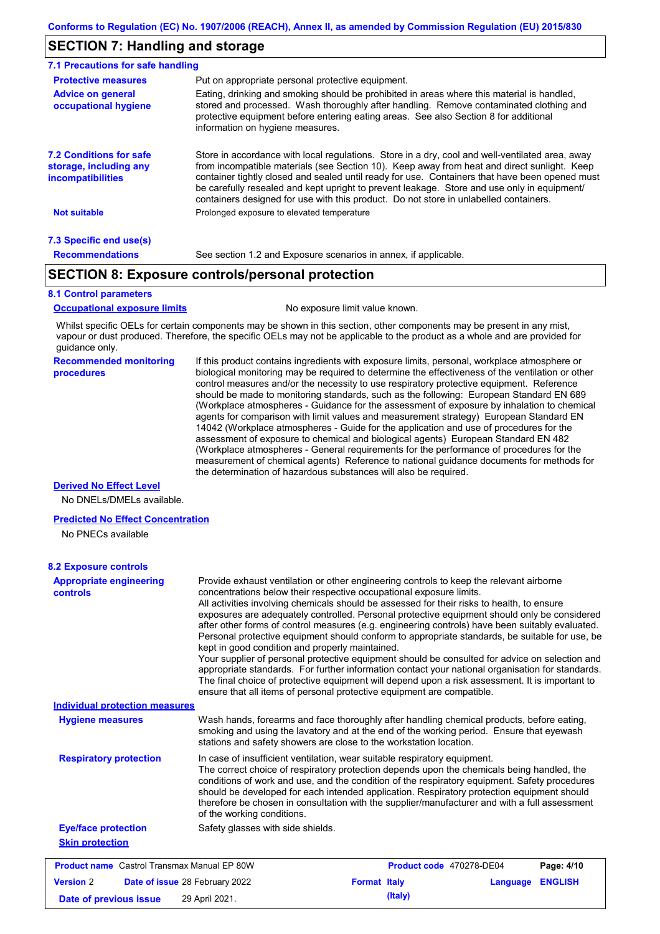### **SECTION 7: Handling and storage**

| 7.1 Precautions for safe handling                                             |                                                                                                                                                                                                                                                                                                                                                                                                                                                                                          |
|-------------------------------------------------------------------------------|------------------------------------------------------------------------------------------------------------------------------------------------------------------------------------------------------------------------------------------------------------------------------------------------------------------------------------------------------------------------------------------------------------------------------------------------------------------------------------------|
| <b>Protective measures</b>                                                    | Put on appropriate personal protective equipment.                                                                                                                                                                                                                                                                                                                                                                                                                                        |
| <b>Advice on general</b><br>occupational hygiene                              | Eating, drinking and smoking should be prohibited in areas where this material is handled,<br>stored and processed. Wash thoroughly after handling. Remove contaminated clothing and<br>protective equipment before entering eating areas. See also Section 8 for additional<br>information on hygiene measures.                                                                                                                                                                         |
| <b>7.2 Conditions for safe</b><br>storage, including any<br>incompatibilities | Store in accordance with local requlations. Store in a dry, cool and well-ventilated area, away<br>from incompatible materials (see Section 10). Keep away from heat and direct sunlight. Keep<br>container tightly closed and sealed until ready for use. Containers that have been opened must<br>be carefully resealed and kept upright to prevent leakage. Store and use only in equipment/<br>containers designed for use with this product. Do not store in unlabelled containers. |
| <b>Not suitable</b>                                                           | Prolonged exposure to elevated temperature                                                                                                                                                                                                                                                                                                                                                                                                                                               |
| 7.3 Specific end use(s)                                                       |                                                                                                                                                                                                                                                                                                                                                                                                                                                                                          |
| <b>Recommendations</b>                                                        | See section 1.2 and Exposure scenarios in annex, if applicable.                                                                                                                                                                                                                                                                                                                                                                                                                          |

### **SECTION 8: Exposure controls/personal protection**

#### **8.1 Control parameters**

**Occupational exposure limits** No exposure limit value known.

Whilst specific OELs for certain components may be shown in this section, other components may be present in any mist, vapour or dust produced. Therefore, the specific OELs may not be applicable to the product as a whole and are provided for guidance only.

#### **Recommended monitoring procedures**

If this product contains ingredients with exposure limits, personal, workplace atmosphere or biological monitoring may be required to determine the effectiveness of the ventilation or other control measures and/or the necessity to use respiratory protective equipment. Reference should be made to monitoring standards, such as the following: European Standard EN 689 (Workplace atmospheres - Guidance for the assessment of exposure by inhalation to chemical agents for comparison with limit values and measurement strategy) European Standard EN 14042 (Workplace atmospheres - Guide for the application and use of procedures for the assessment of exposure to chemical and biological agents) European Standard EN 482 (Workplace atmospheres - General requirements for the performance of procedures for the measurement of chemical agents) Reference to national guidance documents for methods for the determination of hazardous substances will also be required.

### **Derived No Effect Level**

No DNELs/DMELs available.

#### **Predicted No Effect Concentration**

No PNECs available

| <b>Appropriate engineering</b><br><b>controls</b>  | Provide exhaust ventilation or other engineering controls to keep the relevant airborne<br>concentrations below their respective occupational exposure limits.<br>All activities involving chemicals should be assessed for their risks to health, to ensure<br>exposures are adequately controlled. Personal protective equipment should only be considered<br>after other forms of control measures (e.g. engineering controls) have been suitably evaluated.<br>Personal protective equipment should conform to appropriate standards, be suitable for use, be<br>kept in good condition and properly maintained.<br>Your supplier of personal protective equipment should be consulted for advice on selection and<br>appropriate standards. For further information contact your national organisation for standards.<br>The final choice of protective equipment will depend upon a risk assessment. It is important to<br>ensure that all items of personal protective equipment are compatible. |  |  |  |
|----------------------------------------------------|---------------------------------------------------------------------------------------------------------------------------------------------------------------------------------------------------------------------------------------------------------------------------------------------------------------------------------------------------------------------------------------------------------------------------------------------------------------------------------------------------------------------------------------------------------------------------------------------------------------------------------------------------------------------------------------------------------------------------------------------------------------------------------------------------------------------------------------------------------------------------------------------------------------------------------------------------------------------------------------------------------|--|--|--|
| <b>Individual protection measures</b>              |                                                                                                                                                                                                                                                                                                                                                                                                                                                                                                                                                                                                                                                                                                                                                                                                                                                                                                                                                                                                         |  |  |  |
| <b>Hygiene measures</b>                            | Wash hands, forearms and face thoroughly after handling chemical products, before eating,<br>smoking and using the lavatory and at the end of the working period. Ensure that eyewash<br>stations and safety showers are close to the workstation location.                                                                                                                                                                                                                                                                                                                                                                                                                                                                                                                                                                                                                                                                                                                                             |  |  |  |
| <b>Respiratory protection</b>                      | In case of insufficient ventilation, wear suitable respiratory equipment.<br>The correct choice of respiratory protection depends upon the chemicals being handled, the<br>conditions of work and use, and the condition of the respiratory equipment. Safety procedures<br>should be developed for each intended application. Respiratory protection equipment should<br>therefore be chosen in consultation with the supplier/manufacturer and with a full assessment<br>of the working conditions.                                                                                                                                                                                                                                                                                                                                                                                                                                                                                                   |  |  |  |
| <b>Eye/face protection</b>                         | Safety glasses with side shields.                                                                                                                                                                                                                                                                                                                                                                                                                                                                                                                                                                                                                                                                                                                                                                                                                                                                                                                                                                       |  |  |  |
| <b>Skin protection</b>                             |                                                                                                                                                                                                                                                                                                                                                                                                                                                                                                                                                                                                                                                                                                                                                                                                                                                                                                                                                                                                         |  |  |  |
| <b>Product name</b> Castrol Transmax Manual EP 80W | Product code 470278-DE04<br>Page: 4/10                                                                                                                                                                                                                                                                                                                                                                                                                                                                                                                                                                                                                                                                                                                                                                                                                                                                                                                                                                  |  |  |  |
| <b>Version 2</b>                                   | <b>ENGLISH</b><br>Date of issue 28 February 2022<br><b>Format Italy</b><br>Language                                                                                                                                                                                                                                                                                                                                                                                                                                                                                                                                                                                                                                                                                                                                                                                                                                                                                                                     |  |  |  |
| Date of previous issue                             | (Italy)<br>29 April 2021.                                                                                                                                                                                                                                                                                                                                                                                                                                                                                                                                                                                                                                                                                                                                                                                                                                                                                                                                                                               |  |  |  |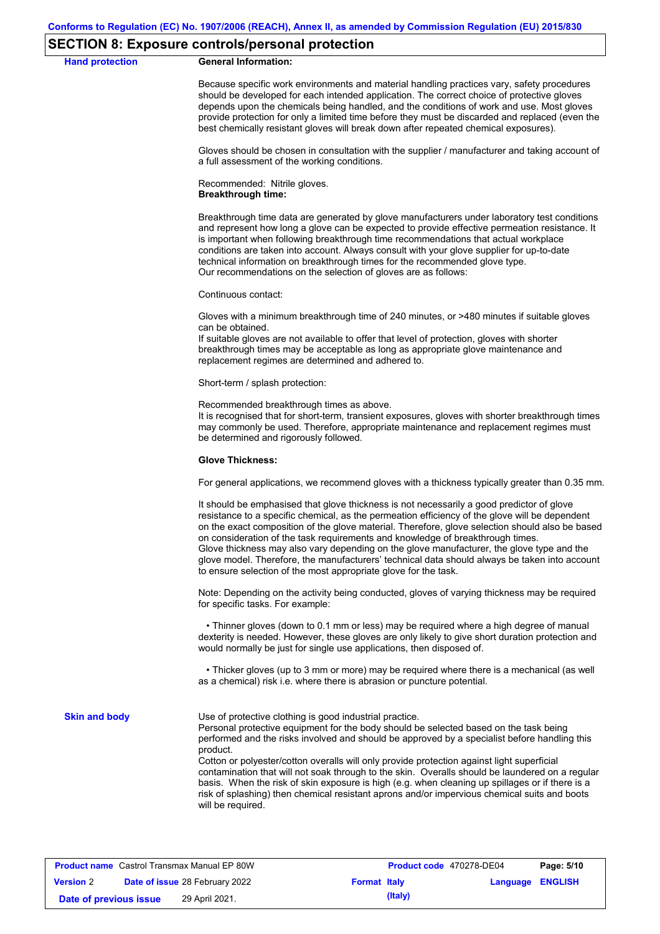### **SECTION 8: Exposure controls/personal protection**

#### **Hand protection General Information:**

Because specific work environments and material handling practices vary, safety procedures should be developed for each intended application. The correct choice of protective gloves depends upon the chemicals being handled, and the conditions of work and use. Most gloves provide protection for only a limited time before they must be discarded and replaced (even the best chemically resistant gloves will break down after repeated chemical exposures).

Gloves should be chosen in consultation with the supplier / manufacturer and taking account of a full assessment of the working conditions.

Recommended: Nitrile gloves. **Breakthrough time:**

Breakthrough time data are generated by glove manufacturers under laboratory test conditions and represent how long a glove can be expected to provide effective permeation resistance. It is important when following breakthrough time recommendations that actual workplace conditions are taken into account. Always consult with your glove supplier for up-to-date technical information on breakthrough times for the recommended glove type. Our recommendations on the selection of gloves are as follows:

Continuous contact:

Gloves with a minimum breakthrough time of 240 minutes, or >480 minutes if suitable gloves can be obtained.

If suitable gloves are not available to offer that level of protection, gloves with shorter breakthrough times may be acceptable as long as appropriate glove maintenance and replacement regimes are determined and adhered to.

Short-term / splash protection:

Recommended breakthrough times as above.

It is recognised that for short-term, transient exposures, gloves with shorter breakthrough times may commonly be used. Therefore, appropriate maintenance and replacement regimes must be determined and rigorously followed.

#### **Glove Thickness:**

For general applications, we recommend gloves with a thickness typically greater than 0.35 mm.

It should be emphasised that glove thickness is not necessarily a good predictor of glove resistance to a specific chemical, as the permeation efficiency of the glove will be dependent on the exact composition of the glove material. Therefore, glove selection should also be based on consideration of the task requirements and knowledge of breakthrough times. Glove thickness may also vary depending on the glove manufacturer, the glove type and the glove model. Therefore, the manufacturers' technical data should always be taken into account to ensure selection of the most appropriate glove for the task.

Note: Depending on the activity being conducted, gloves of varying thickness may be required for specific tasks. For example:

 • Thinner gloves (down to 0.1 mm or less) may be required where a high degree of manual dexterity is needed. However, these gloves are only likely to give short duration protection and would normally be just for single use applications, then disposed of.

 • Thicker gloves (up to 3 mm or more) may be required where there is a mechanical (as well as a chemical) risk i.e. where there is abrasion or puncture potential.

**Skin and body**

Use of protective clothing is good industrial practice.

Personal protective equipment for the body should be selected based on the task being performed and the risks involved and should be approved by a specialist before handling this product.

Cotton or polyester/cotton overalls will only provide protection against light superficial contamination that will not soak through to the skin. Overalls should be laundered on a regular basis. When the risk of skin exposure is high (e.g. when cleaning up spillages or if there is a risk of splashing) then chemical resistant aprons and/or impervious chemical suits and boots will be required.

| <b>Product name</b> Castrol Transmax Manual EP 80W        |  | Product code 470278-DE04 |  | Page: 5/10              |  |  |
|-----------------------------------------------------------|--|--------------------------|--|-------------------------|--|--|
| <b>Date of issue 28 February 2022</b><br><b>Version 2</b> |  | <b>Format Italy</b>      |  | <b>Language ENGLISH</b> |  |  |
| Date of previous issue                                    |  | 29 April 2021.           |  | (Italy)                 |  |  |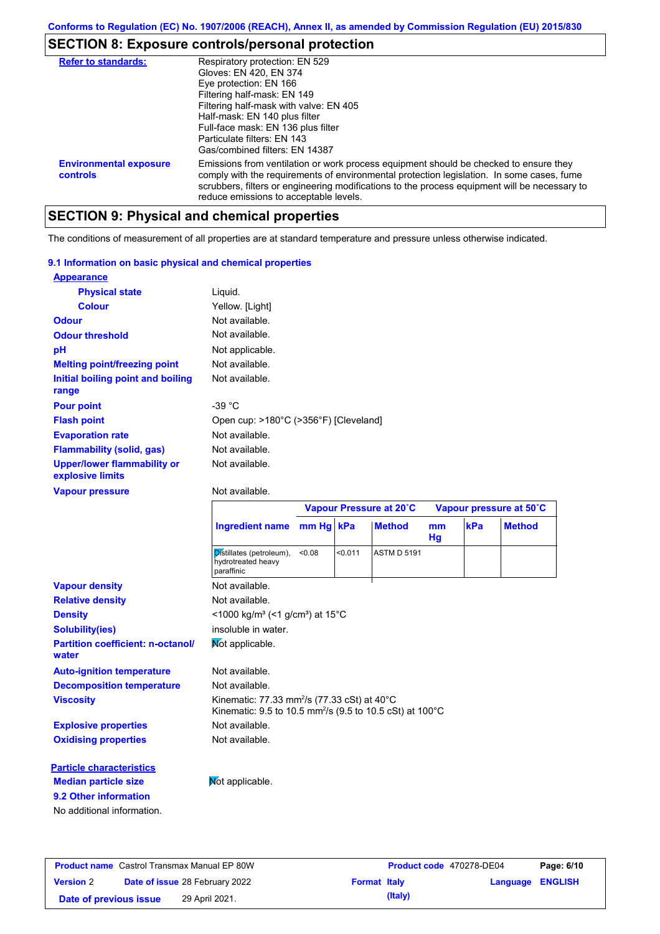# **SECTION 8: Exposure controls/personal protection**

| <b>Refer to standards:</b>                | Respiratory protection: EN 529<br>Gloves: EN 420, EN 374<br>Eye protection: EN 166<br>Filtering half-mask: EN 149<br>Filtering half-mask with valve: EN 405<br>Half-mask: EN 140 plus filter<br>Full-face mask: EN 136 plus filter<br>Particulate filters: EN 143<br>Gas/combined filters: EN 14387                           |
|-------------------------------------------|-------------------------------------------------------------------------------------------------------------------------------------------------------------------------------------------------------------------------------------------------------------------------------------------------------------------------------|
| <b>Environmental exposure</b><br>controls | Emissions from ventilation or work process equipment should be checked to ensure they<br>comply with the requirements of environmental protection legislation. In some cases, fume<br>scrubbers, filters or engineering modifications to the process equipment will be necessary to<br>reduce emissions to acceptable levels. |

# **SECTION 9: Physical and chemical properties**

The conditions of measurement of all properties are at standard temperature and pressure unless otherwise indicated.

### **9.1 Information on basic physical and chemical properties**

| <b>Appearance</b>                                      |                                       |
|--------------------------------------------------------|---------------------------------------|
| <b>Physical state</b>                                  | Liquid.                               |
| <b>Colour</b>                                          | Yellow. [Light]                       |
| <b>Odour</b>                                           | Not available.                        |
| <b>Odour threshold</b>                                 | Not available.                        |
| рH                                                     | Not applicable.                       |
| <b>Melting point/freezing point</b>                    | Not available.                        |
| Initial boiling point and boiling<br>range             | Not available.                        |
| <b>Pour point</b>                                      | -39 °C                                |
| <b>Flash point</b>                                     | Open cup: >180°C (>356°F) [Cleveland] |
| <b>Evaporation rate</b>                                | Not available.                        |
| <b>Flammability (solid, gas)</b>                       | Not available.                        |
| <b>Upper/lower flammability or</b><br>explosive limits | Not available.                        |

#### **Vapour pressure**

### Not available.

|                                                   |                                                                                                                                           |           | Vapour Pressure at 20°C |                    | Vapour pressure at 50°C |     |               |
|---------------------------------------------------|-------------------------------------------------------------------------------------------------------------------------------------------|-----------|-------------------------|--------------------|-------------------------|-----|---------------|
|                                                   | <b>Ingredient name</b>                                                                                                                    | mm Hg kPa |                         | <b>Method</b>      | m <sub>m</sub><br>Hg    | kPa | <b>Method</b> |
|                                                   | Distillates (petroleum),<br>hydrotreated heavy<br>paraffinic                                                                              | < 0.08    | < 0.011                 | <b>ASTM D 5191</b> |                         |     |               |
| <b>Vapour density</b>                             | Not available.                                                                                                                            |           |                         |                    |                         |     |               |
| <b>Relative density</b>                           | Not available.                                                                                                                            |           |                         |                    |                         |     |               |
| <b>Density</b>                                    | <1000 kg/m <sup>3</sup> (<1 g/cm <sup>3</sup> ) at 15°C                                                                                   |           |                         |                    |                         |     |               |
| <b>Solubility(ies)</b>                            | insoluble in water.                                                                                                                       |           |                         |                    |                         |     |               |
| <b>Partition coefficient: n-octanol/</b><br>water | Not applicable.                                                                                                                           |           |                         |                    |                         |     |               |
| <b>Auto-ignition temperature</b>                  | Not available.                                                                                                                            |           |                         |                    |                         |     |               |
| <b>Decomposition temperature</b>                  | Not available.                                                                                                                            |           |                         |                    |                         |     |               |
| <b>Viscosity</b>                                  | Kinematic: 77.33 mm <sup>2</sup> /s (77.33 cSt) at $40^{\circ}$ C<br>Kinematic: 9.5 to 10.5 mm <sup>2</sup> /s (9.5 to 10.5 cSt) at 100°C |           |                         |                    |                         |     |               |
| <b>Explosive properties</b>                       | Not available.                                                                                                                            |           |                         |                    |                         |     |               |
| <b>Oxidising properties</b>                       | Not available.                                                                                                                            |           |                         |                    |                         |     |               |
| <b>Particle characteristics</b>                   |                                                                                                                                           |           |                         |                    |                         |     |               |
| <b>Median particle size</b>                       | Not applicable.                                                                                                                           |           |                         |                    |                         |     |               |
| 9.2 Other information                             |                                                                                                                                           |           |                         |                    |                         |     |               |
| No additional information.                        |                                                                                                                                           |           |                         |                    |                         |     |               |

| <b>Product name</b> Castrol Transmax Manual EP 80W |  |                                       | Product code 470278-DE04 | Page: 6/10 |                         |  |
|----------------------------------------------------|--|---------------------------------------|--------------------------|------------|-------------------------|--|
| <b>Version 2</b>                                   |  | <b>Date of issue 28 February 2022</b> | <b>Format Italy</b>      |            | <b>Language ENGLISH</b> |  |
| Date of previous issue                             |  | 29 April 2021.                        |                          | (Italy)    |                         |  |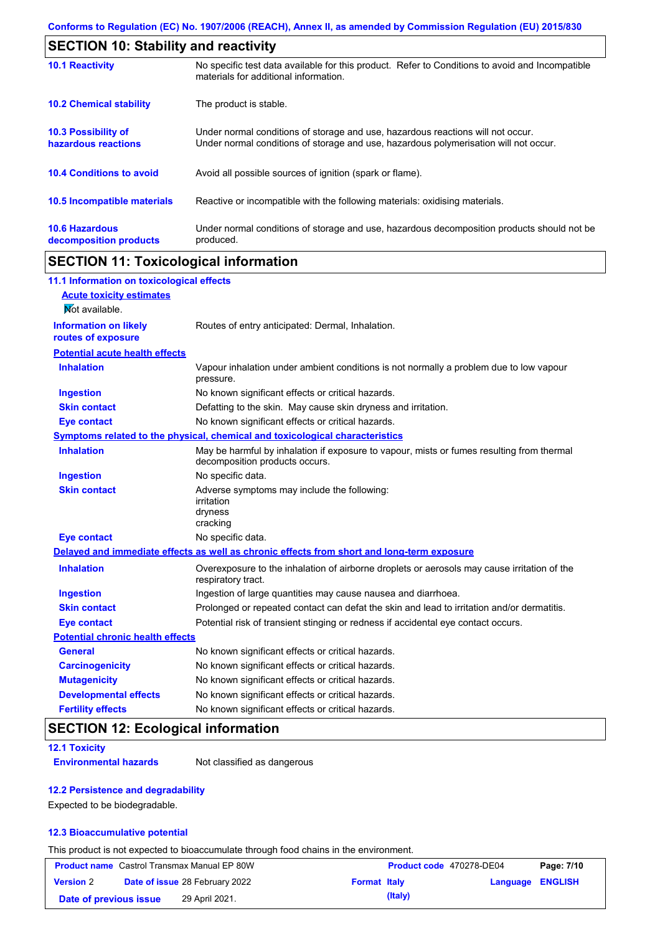| <b>SECTION 10: Stability and reactivity</b>       |                                                                                                                                                                         |  |  |
|---------------------------------------------------|-------------------------------------------------------------------------------------------------------------------------------------------------------------------------|--|--|
| <b>10.1 Reactivity</b>                            | No specific test data available for this product. Refer to Conditions to avoid and Incompatible<br>materials for additional information.                                |  |  |
| <b>10.2 Chemical stability</b>                    | The product is stable.                                                                                                                                                  |  |  |
| <b>10.3 Possibility of</b><br>hazardous reactions | Under normal conditions of storage and use, hazardous reactions will not occur.<br>Under normal conditions of storage and use, hazardous polymerisation will not occur. |  |  |
| <b>10.4 Conditions to avoid</b>                   | Avoid all possible sources of ignition (spark or flame).                                                                                                                |  |  |
| 10.5 Incompatible materials                       | Reactive or incompatible with the following materials: oxidising materials.                                                                                             |  |  |
| <b>10.6 Hazardous</b><br>decomposition products   | Under normal conditions of storage and use, hazardous decomposition products should not be<br>produced.                                                                 |  |  |

# **SECTION 11: Toxicological information**

| 11.1 Information on toxicological effects          |                                                                                                                             |
|----------------------------------------------------|-----------------------------------------------------------------------------------------------------------------------------|
| <b>Acute toxicity estimates</b>                    |                                                                                                                             |
| Not available.                                     |                                                                                                                             |
| <b>Information on likely</b><br>routes of exposure | Routes of entry anticipated: Dermal, Inhalation.                                                                            |
| <b>Potential acute health effects</b>              |                                                                                                                             |
| <b>Inhalation</b>                                  | Vapour inhalation under ambient conditions is not normally a problem due to low vapour<br>pressure.                         |
| <b>Ingestion</b>                                   | No known significant effects or critical hazards.                                                                           |
| <b>Skin contact</b>                                | Defatting to the skin. May cause skin dryness and irritation.                                                               |
| <b>Eye contact</b>                                 | No known significant effects or critical hazards.                                                                           |
|                                                    | Symptoms related to the physical, chemical and toxicological characteristics                                                |
| <b>Inhalation</b>                                  | May be harmful by inhalation if exposure to vapour, mists or fumes resulting from thermal<br>decomposition products occurs. |
| <b>Ingestion</b>                                   | No specific data.                                                                                                           |
| <b>Skin contact</b>                                | Adverse symptoms may include the following:<br>irritation<br>dryness<br>cracking                                            |
| <b>Eye contact</b>                                 | No specific data.                                                                                                           |
|                                                    | Delayed and immediate effects as well as chronic effects from short and long-term exposure                                  |
| <b>Inhalation</b>                                  | Overexposure to the inhalation of airborne droplets or aerosols may cause irritation of the<br>respiratory tract.           |
| <b>Ingestion</b>                                   | Ingestion of large quantities may cause nausea and diarrhoea.                                                               |
| <b>Skin contact</b>                                | Prolonged or repeated contact can defat the skin and lead to irritation and/or dermatitis.                                  |
| <b>Eye contact</b>                                 | Potential risk of transient stinging or redness if accidental eye contact occurs.                                           |
| <b>Potential chronic health effects</b>            |                                                                                                                             |
| <b>General</b>                                     | No known significant effects or critical hazards.                                                                           |
|                                                    |                                                                                                                             |
| <b>Carcinogenicity</b>                             | No known significant effects or critical hazards.                                                                           |
| <b>Mutagenicity</b>                                | No known significant effects or critical hazards.                                                                           |
| <b>Developmental effects</b>                       | No known significant effects or critical hazards.                                                                           |

## **SECTION 12: Ecological information**

**12.1 Toxicity**

**Environmental hazards** Not classified as dangerous

### **12.2 Persistence and degradability**

Expected to be biodegradable.

### **12.3 Bioaccumulative potential**

This product is not expected to bioaccumulate through food chains in the environment.

| <b>Product name</b> Castrol Transmax Manual EP 80W |  |                                       | Product code 470278-DE04 |         | Page: 7/10              |  |
|----------------------------------------------------|--|---------------------------------------|--------------------------|---------|-------------------------|--|
| <b>Version 2</b>                                   |  | <b>Date of issue 28 February 2022</b> | <b>Format Italy</b>      |         | <b>Language ENGLISH</b> |  |
| Date of previous issue                             |  | 29 April 2021.                        |                          | (Italy) |                         |  |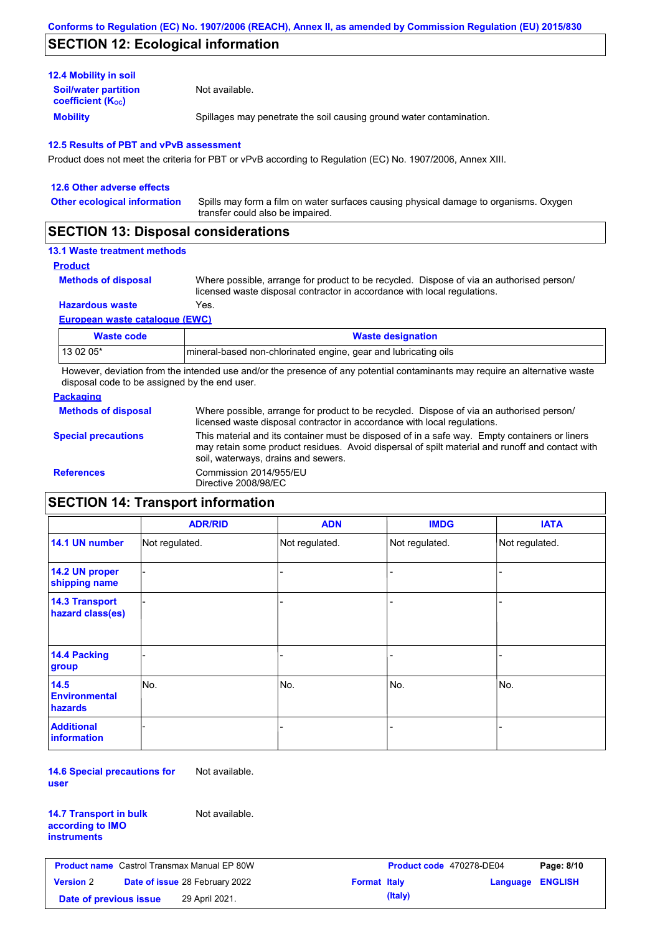### **SECTION 12: Ecological information**

| <b>Mobility</b>                                       | Spillages may penetrate the soil causing ground water contamination. |
|-------------------------------------------------------|----------------------------------------------------------------------|
| <b>Soil/water partition</b><br>coefficient $(K_{oc})$ | Not available.                                                       |
| <b>12.4 Mobility in soil</b>                          |                                                                      |

Product does not meet the criteria for PBT or vPvB according to Regulation (EC) No. 1907/2006, Annex XIII.

| 12.6 Other adverse effects                                                                                                                                                                                                                                                                                                                                                                                             |                                                                                                                           |
|------------------------------------------------------------------------------------------------------------------------------------------------------------------------------------------------------------------------------------------------------------------------------------------------------------------------------------------------------------------------------------------------------------------------|---------------------------------------------------------------------------------------------------------------------------|
| <b>Other ecological information</b>                                                                                                                                                                                                                                                                                                                                                                                    | Spills may form a film on water surfaces causing physical damage to organisms. Oxygen<br>transfer could also be impaired. |
| $\mathsf{A} \mathsf{F} \mathsf{A} \mathsf{F} \mathsf{I} \mathsf{A} \mathsf{I} \mathsf{A} \mathsf{I} \mathsf{B} \mathsf{I} \mathsf{I} \mathsf{I} \mathsf{I} \mathsf{I} \mathsf{I} \mathsf{I} \mathsf{I} \mathsf{I} \mathsf{I} \mathsf{I} \mathsf{I} \mathsf{I} \mathsf{I} \mathsf{I} \mathsf{I} \mathsf{I} \mathsf{I} \mathsf{I} \mathsf{I} \mathsf{I} \mathsf{I} \mathsf{I} \mathsf{I} \mathsf{I} \mathsf{I} \mathsf{$ |                                                                                                                           |

### **SECTION 13: Disposal considerations**

### **13.1 Waste treatment methods**

```
Product
```
**Methods of disposal**

Where possible, arrange for product to be recycled. Dispose of via an authorised person/ licensed waste disposal contractor in accordance with local regulations.

**Hazardous waste** Yes.

**European waste catalogue (EWC)**

| Waste code | <b>Waste designation</b>                                        |
|------------|-----------------------------------------------------------------|
| 13 02 05*  | mineral-based non-chlorinated engine, gear and lubricating oils |

However, deviation from the intended use and/or the presence of any potential contaminants may require an alternative waste disposal code to be assigned by the end user.

### **Packaging**

| <b>Methods of disposal</b> | Where possible, arrange for product to be recycled. Dispose of via an authorised person/<br>licensed waste disposal contractor in accordance with local regulations.                                                                    |
|----------------------------|-----------------------------------------------------------------------------------------------------------------------------------------------------------------------------------------------------------------------------------------|
| <b>Special precautions</b> | This material and its container must be disposed of in a safe way. Empty containers or liners<br>may retain some product residues. Avoid dispersal of spilt material and runoff and contact with<br>soil, waterways, drains and sewers. |
| <b>References</b>          | Commission 2014/955/EU<br>Directive 2008/98/EC                                                                                                                                                                                          |

# **SECTION 14: Transport information**

|                                                | <b>ADR/RID</b> | <b>ADN</b>     | <b>IMDG</b>    | <b>IATA</b>    |
|------------------------------------------------|----------------|----------------|----------------|----------------|
| 14.1 UN number                                 | Not regulated. | Not regulated. | Not regulated. | Not regulated. |
| 14.2 UN proper<br>shipping name                |                |                |                |                |
| <b>14.3 Transport</b><br>hazard class(es)      |                |                |                |                |
| 14.4 Packing<br>group                          |                |                |                |                |
| 14.5<br><b>Environmental</b><br><b>hazards</b> | No.            | No.            | No.            | No.            |
| <b>Additional</b><br>information               |                |                |                |                |

**14.6 Special precautions for user** Not available.

| <b>14.7 Transport in bulk</b> |  |
|-------------------------------|--|
| according to IMO              |  |
| instruments                   |  |

Not available.

| <b>Product name</b> Castrol Transmax Manual EP 80W |  |                                       | Product code 470278-DE04 | Page: 8/10 |                         |  |
|----------------------------------------------------|--|---------------------------------------|--------------------------|------------|-------------------------|--|
| <b>Version</b> 2                                   |  | <b>Date of issue 28 February 2022</b> | <b>Format Italy</b>      |            | <b>Language ENGLISH</b> |  |
| 29 April 2021.<br>Date of previous issue           |  |                                       |                          | (Italy)    |                         |  |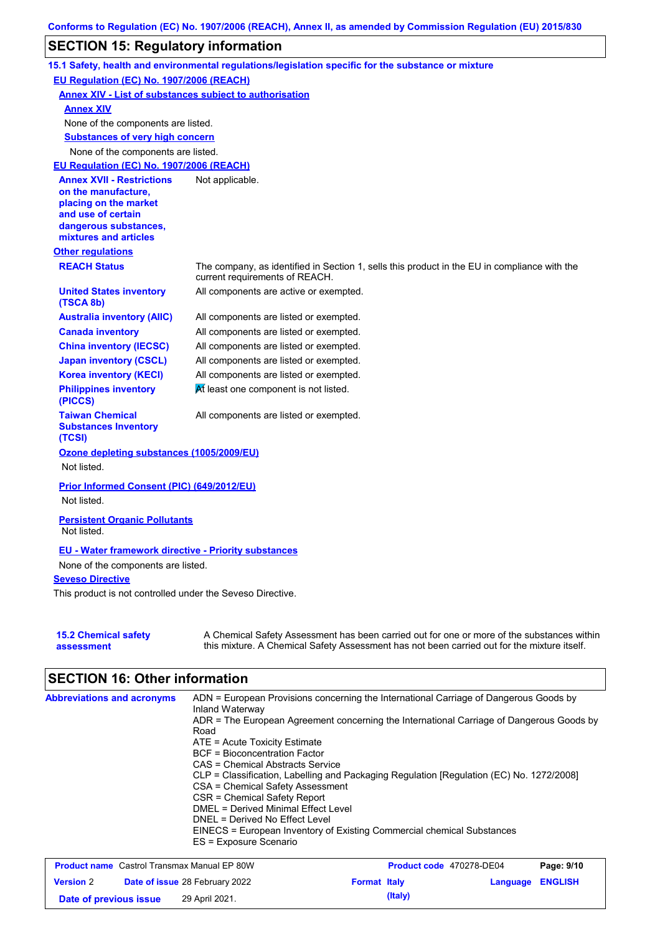# **SECTION 15: Regulatory information**

|                                                                | 15.1 Safety, health and environmental regulations/legislation specific for the substance or mixture                                                                                       |
|----------------------------------------------------------------|-------------------------------------------------------------------------------------------------------------------------------------------------------------------------------------------|
| EU Regulation (EC) No. 1907/2006 (REACH)                       |                                                                                                                                                                                           |
| <b>Annex XIV - List of substances subject to authorisation</b> |                                                                                                                                                                                           |
| <b>Annex XIV</b>                                               |                                                                                                                                                                                           |
| None of the components are listed.                             |                                                                                                                                                                                           |
| <b>Substances of very high concern</b>                         |                                                                                                                                                                                           |
| None of the components are listed.                             |                                                                                                                                                                                           |
| EU Regulation (EC) No. 1907/2006 (REACH)                       |                                                                                                                                                                                           |
| <b>Annex XVII - Restrictions</b>                               | Not applicable.                                                                                                                                                                           |
| on the manufacture,<br>placing on the market                   |                                                                                                                                                                                           |
| and use of certain                                             |                                                                                                                                                                                           |
| dangerous substances,                                          |                                                                                                                                                                                           |
| mixtures and articles                                          |                                                                                                                                                                                           |
| <b>Other regulations</b>                                       |                                                                                                                                                                                           |
| <b>REACH Status</b>                                            | The company, as identified in Section 1, sells this product in the EU in compliance with the<br>current requirements of REACH.                                                            |
| <b>United States inventory</b><br>(TSCA 8b)                    | All components are active or exempted.                                                                                                                                                    |
| <b>Australia inventory (AIIC)</b>                              | All components are listed or exempted.                                                                                                                                                    |
| <b>Canada inventory</b>                                        | All components are listed or exempted.                                                                                                                                                    |
| <b>China inventory (IECSC)</b>                                 | All components are listed or exempted.                                                                                                                                                    |
| <b>Japan inventory (CSCL)</b>                                  | All components are listed or exempted.                                                                                                                                                    |
| <b>Korea inventory (KECI)</b>                                  | All components are listed or exempted.                                                                                                                                                    |
| <b>Philippines inventory</b><br>(PICCS)                        | At least one component is not listed.                                                                                                                                                     |
| <b>Taiwan Chemical</b><br><b>Substances Inventory</b>          | All components are listed or exempted.                                                                                                                                                    |
| (TCSI)                                                         |                                                                                                                                                                                           |
| Ozone depleting substances (1005/2009/EU)<br>Not listed.       |                                                                                                                                                                                           |
|                                                                |                                                                                                                                                                                           |
| Prior Informed Consent (PIC) (649/2012/EU)<br>Not listed.      |                                                                                                                                                                                           |
| <b>Persistent Organic Pollutants</b>                           |                                                                                                                                                                                           |
| Not listed.                                                    |                                                                                                                                                                                           |
| <b>EU - Water framework directive - Priority substances</b>    |                                                                                                                                                                                           |
| None of the components are listed.                             |                                                                                                                                                                                           |
| <b>Seveso Directive</b>                                        |                                                                                                                                                                                           |
| This product is not controlled under the Seveso Directive.     |                                                                                                                                                                                           |
| <b>15.2 Chemical safety</b><br>assessment                      | A Chemical Safety Assessment has been carried out for one or more of the substances within<br>this mixture. A Chemical Safety Assessment has not been carried out for the mixture itself. |

# **SECTION 16: Other information**

| ADN = European Provisions concerning the International Carriage of Dangerous Goods by<br>Inland Waterway |
|----------------------------------------------------------------------------------------------------------|
| ADR = The European Agreement concerning the International Carriage of Dangerous Goods by<br>Road         |
| $ATE =$ Acute Toxicity Estimate                                                                          |
| <b>BCF</b> = Bioconcentration Factor                                                                     |
| CAS = Chemical Abstracts Service                                                                         |
| CLP = Classification, Labelling and Packaging Regulation [Regulation (EC) No. 1272/2008]                 |
| CSA = Chemical Safety Assessment                                                                         |
| CSR = Chemical Safety Report                                                                             |
| <b>DMEL = Derived Minimal Effect Level</b>                                                               |
| DNEL = Derived No Effect Level                                                                           |
| EINECS = European Inventory of Existing Commercial chemical Substances                                   |
| ES = Exposure Scenario                                                                                   |
|                                                                                                          |

| <b>Product name</b> Castrol Transmax Manual EP 80W |  |                                       | Product code 470278-DE04 | Page: 9/10 |                         |  |
|----------------------------------------------------|--|---------------------------------------|--------------------------|------------|-------------------------|--|
| <b>Version 2</b>                                   |  | <b>Date of issue 28 February 2022</b> | <b>Format Italy</b>      |            | <b>Language ENGLISH</b> |  |
| Date of previous issue                             |  | 29 April 2021.                        |                          | (Italy)    |                         |  |